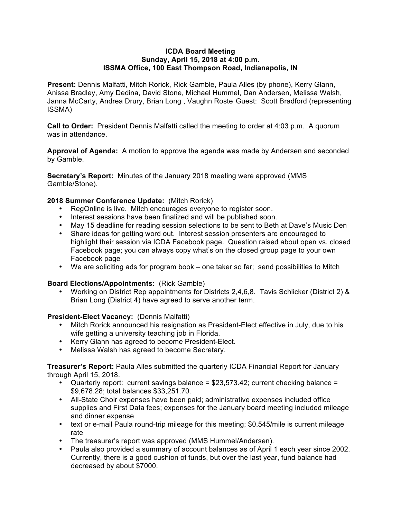#### **ICDA Board Meeting Sunday, April 15, 2018 at 4:00 p.m. ISSMA Office, 100 East Thompson Road, Indianapolis, IN**

**Present:** Dennis Malfatti, Mitch Rorick, Rick Gamble, Paula Alles (by phone), Kerry Glann, Anissa Bradley, Amy Dedina, David Stone, Michael Hummel, Dan Andersen, Melissa Walsh, Janna McCarty, Andrea Drury, Brian Long , Vaughn Roste Guest: Scott Bradford (representing ISSMA)

**Call to Order:** President Dennis Malfatti called the meeting to order at 4:03 p.m. A quorum was in attendance.

**Approval of Agenda:** A motion to approve the agenda was made by Andersen and seconded by Gamble.

**Secretary's Report:** Minutes of the January 2018 meeting were approved (MMS Gamble/Stone).

## **2018 Summer Conference Update:** (Mitch Rorick)

- RegOnline is live. Mitch encourages everyone to register soon.
- Interest sessions have been finalized and will be published soon.
- May 15 deadline for reading session selections to be sent to Beth at Dave's Music Den
- Share ideas for getting word out. Interest session presenters are encouraged to highlight their session via ICDA Facebook page. Question raised about open vs. closed Facebook page; you can always copy what's on the closed group page to your own Facebook page
- We are soliciting ads for program book one taker so far; send possibilities to Mitch

#### **Board Elections/Appointments:** (Rick Gamble)

• Working on District Rep appointments for Districts 2,4,6,8. Tavis Schlicker (District 2) & Brian Long (District 4) have agreed to serve another term.

#### **President-Elect Vacancy:** (Dennis Malfatti)

- Mitch Rorick announced his resignation as President-Elect effective in July, due to his wife getting a university teaching job in Florida.
- Kerry Glann has agreed to become President-Elect.
- Melissa Walsh has agreed to become Secretary.

**Treasurer's Report:** Paula Alles submitted the quarterly ICDA Financial Report for January through April 15, 2018.

- Quarterly report: current savings balance = \$23,573.42; current checking balance = \$9,678.28; total balances \$33,251.70.
- All-State Choir expenses have been paid; administrative expenses included office supplies and First Data fees; expenses for the January board meeting included mileage and dinner expense
- text or e-mail Paula round-trip mileage for this meeting; \$0.545/mile is current mileage rate
- The treasurer's report was approved (MMS Hummel/Andersen).
- Paula also provided a summary of account balances as of April 1 each year since 2002. Currently, there is a good cushion of funds, but over the last year, fund balance had decreased by about \$7000.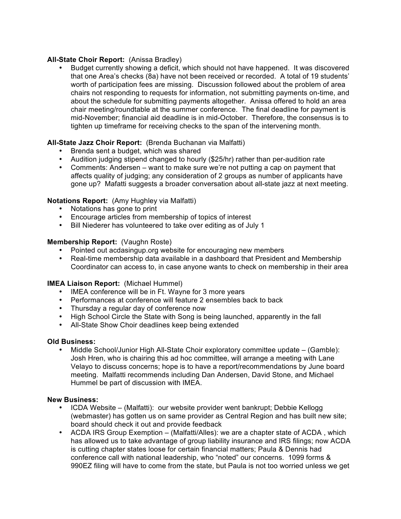# **All-State Choir Report:** (Anissa Bradley)

• Budget currently showing a deficit, which should not have happened. It was discovered that one Area's checks (8a) have not been received or recorded. A total of 19 students' worth of participation fees are missing. Discussion followed about the problem of area chairs not responding to requests for information, not submitting payments on-time, and about the schedule for submitting payments altogether. Anissa offered to hold an area chair meeting/roundtable at the summer conference. The final deadline for payment is mid-November; financial aid deadline is in mid-October. Therefore, the consensus is to tighten up timeframe for receiving checks to the span of the intervening month.

# **All-State Jazz Choir Report:** (Brenda Buchanan via Malfatti)

- Brenda sent a budget, which was shared
- Audition judging stipend changed to hourly (\$25/hr) rather than per-audition rate
- Comments: Andersen want to make sure we're not putting a cap on payment that affects quality of judging; any consideration of 2 groups as number of applicants have gone up? Mafatti suggests a broader conversation about all-state jazz at next meeting.

## **Notations Report:** (Amy Hughley via Malfatti)

- Notations has gone to print
- Encourage articles from membership of topics of interest
- Bill Niederer has volunteered to take over editing as of July 1

## **Membership Report:** (Vaughn Roste)

- Pointed out acdasingup.org website for encouraging new members
- Real-time membership data available in a dashboard that President and Membership Coordinator can access to, in case anyone wants to check on membership in their area

## **IMEA Liaison Report:** (Michael Hummel)

- IMEA conference will be in Ft. Wayne for 3 more years
- Performances at conference will feature 2 ensembles back to back
- Thursday a regular day of conference now
- High School Circle the State with Song is being launched, apparently in the fall
- All-State Show Choir deadlines keep being extended

#### **Old Business:**

• Middle School/Junior High All-State Choir exploratory committee update – (Gamble): Josh Hren, who is chairing this ad hoc committee, will arrange a meeting with Lane Velayo to discuss concerns; hope is to have a report/recommendations by June board meeting. Malfatti recommends including Dan Andersen, David Stone, and Michael Hummel be part of discussion with IMEA.

## **New Business:**

- ICDA Website (Malfatti): our website provider went bankrupt; Debbie Kellogg (webmaster) has gotten us on same provider as Central Region and has built new site; board should check it out and provide feedback
- ACDA IRS Group Exemption (Malfatti/Alles): we are a chapter state of ACDA, which has allowed us to take advantage of group liability insurance and IRS filings; now ACDA is cutting chapter states loose for certain financial matters; Paula & Dennis had conference call with national leadership, who "noted" our concerns. 1099 forms & 990EZ filing will have to come from the state, but Paula is not too worried unless we get